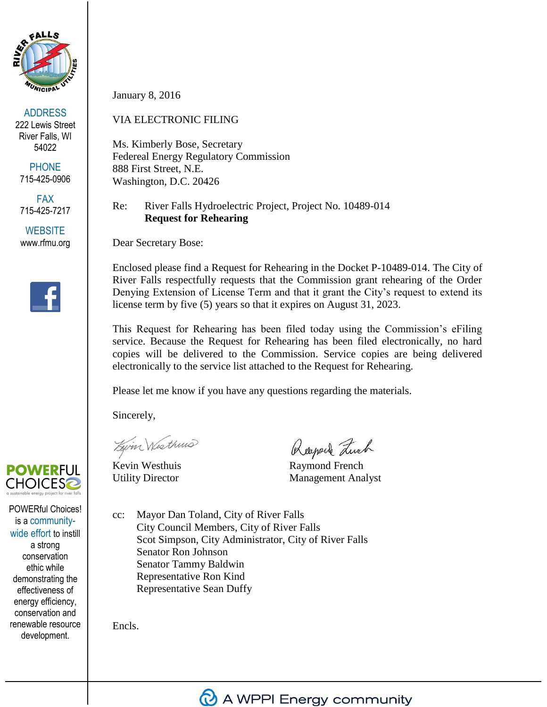

ADDRESS 222 Lewis Street River Falls, WI 54022

**PHONE** 715-425-0906

FAX 715-425-7217

**WEBSITE** www.rfmu.org



# **POWERFUL CHOICES2**

POWERful Choices! is a communitywide effort to instill a strong conservation ethic while demonstrating the effectiveness of energy efficiency, conservation and renewable resource development.

January 8, 2016

# VIA ELECTRONIC FILING

Ms. Kimberly Bose, Secretary Federeal Energy Regulatory Commission 888 First Street, N.E. Washington, D.C. 20426

## Re: River Falls Hydroelectric Project, Project No. 10489-014 **Request for Rehearing**

Dear Secretary Bose:

Enclosed please find a Request for Rehearing in the Docket P-10489-014. The City of River Falls respectfully requests that the Commission grant rehearing of the Order Denying Extension of License Term and that it grant the City's request to extend its license term by five (5) years so that it expires on August 31, 2023.

This Request for Rehearing has been filed today using the Commission's eFiling service. Because the Request for Rehearing has been filed electronically, no hard copies will be delivered to the Commission. Service copies are being delivered electronically to the service list attached to the Request for Rehearing.

Please let me know if you have any questions regarding the materials.

Sincerely,

Zwin Westhins

Rayard Luch

Kevin Westhuis Raymond French Utility Director Management Analyst

cc: Mayor Dan Toland, City of River Falls City Council Members, City of River Falls Scot Simpson, City Administrator, City of River Falls Senator Ron Johnson Senator Tammy Baldwin Representative Ron Kind Representative Sean Duffy

Encls.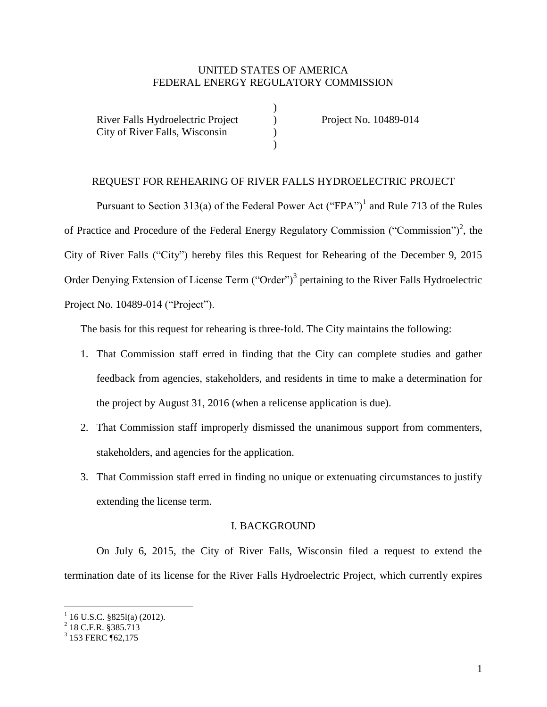## UNITED STATES OF AMERICA FEDERAL ENERGY REGULATORY COMMISSION

)

)

| River Falls Hydroelectric Project |  |
|-----------------------------------|--|
| City of River Falls, Wisconsin    |  |
|                                   |  |

) Project No. 10489-014<br>
)

#### REQUEST FOR REHEARING OF RIVER FALLS HYDROELECTRIC PROJECT

Pursuant to Section 313(a) of the Federal Power Act ("FPA")<sup>1</sup> and Rule 713 of the Rules of Practice and Procedure of the Federal Energy Regulatory Commission ("Commission")<sup>2</sup>, the City of River Falls ("City") hereby files this Request for Rehearing of the December 9, 2015 Order Denying Extension of License Term ("Order")<sup>3</sup> pertaining to the River Falls Hydroelectric Project No. 10489-014 ("Project").

The basis for this request for rehearing is three-fold. The City maintains the following:

- 1. That Commission staff erred in finding that the City can complete studies and gather feedback from agencies, stakeholders, and residents in time to make a determination for the project by August 31, 2016 (when a relicense application is due).
- 2. That Commission staff improperly dismissed the unanimous support from commenters, stakeholders, and agencies for the application.
- 3. That Commission staff erred in finding no unique or extenuating circumstances to justify extending the license term.

#### I. BACKGROUND

On July 6, 2015, the City of River Falls, Wisconsin filed a request to extend the termination date of its license for the River Falls Hydroelectric Project, which currently expires

 1 16 U.S.C. §825l(a) (2012). 2 18 C.F.R. §385.713

<sup>&</sup>lt;sup>3</sup> 153 FERC ¶62,175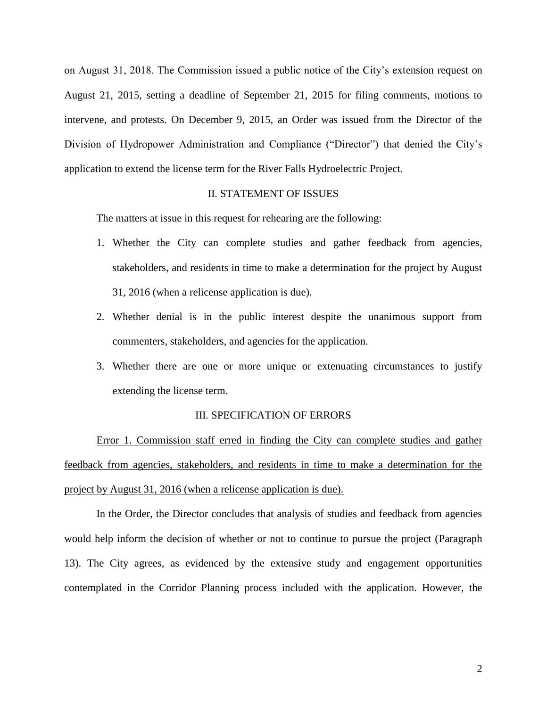on August 31, 2018. The Commission issued a public notice of the City's extension request on August 21, 2015, setting a deadline of September 21, 2015 for filing comments, motions to intervene, and protests. On December 9, 2015, an Order was issued from the Director of the Division of Hydropower Administration and Compliance ("Director") that denied the City's application to extend the license term for the River Falls Hydroelectric Project.

#### II. STATEMENT OF ISSUES

The matters at issue in this request for rehearing are the following:

- 1. Whether the City can complete studies and gather feedback from agencies, stakeholders, and residents in time to make a determination for the project by August 31, 2016 (when a relicense application is due).
- 2. Whether denial is in the public interest despite the unanimous support from commenters, stakeholders, and agencies for the application.
- 3. Whether there are one or more unique or extenuating circumstances to justify extending the license term.

#### III. SPECIFICATION OF ERRORS

Error 1. Commission staff erred in finding the City can complete studies and gather feedback from agencies, stakeholders, and residents in time to make a determination for the project by August 31, 2016 (when a relicense application is due).

In the Order, the Director concludes that analysis of studies and feedback from agencies would help inform the decision of whether or not to continue to pursue the project (Paragraph 13). The City agrees, as evidenced by the extensive study and engagement opportunities contemplated in the Corridor Planning process included with the application. However, the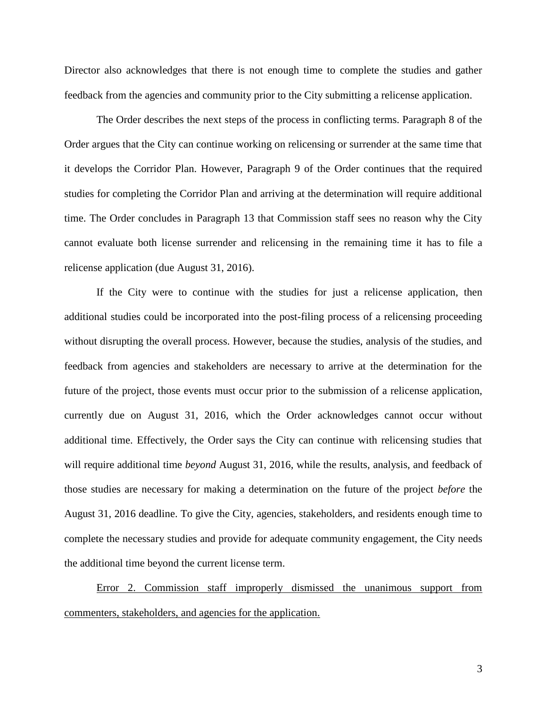Director also acknowledges that there is not enough time to complete the studies and gather feedback from the agencies and community prior to the City submitting a relicense application.

The Order describes the next steps of the process in conflicting terms. Paragraph 8 of the Order argues that the City can continue working on relicensing or surrender at the same time that it develops the Corridor Plan. However, Paragraph 9 of the Order continues that the required studies for completing the Corridor Plan and arriving at the determination will require additional time. The Order concludes in Paragraph 13 that Commission staff sees no reason why the City cannot evaluate both license surrender and relicensing in the remaining time it has to file a relicense application (due August 31, 2016).

If the City were to continue with the studies for just a relicense application, then additional studies could be incorporated into the post-filing process of a relicensing proceeding without disrupting the overall process. However, because the studies, analysis of the studies, and feedback from agencies and stakeholders are necessary to arrive at the determination for the future of the project, those events must occur prior to the submission of a relicense application, currently due on August 31, 2016, which the Order acknowledges cannot occur without additional time. Effectively, the Order says the City can continue with relicensing studies that will require additional time *beyond* August 31, 2016, while the results, analysis, and feedback of those studies are necessary for making a determination on the future of the project *before* the August 31, 2016 deadline. To give the City, agencies, stakeholders, and residents enough time to complete the necessary studies and provide for adequate community engagement, the City needs the additional time beyond the current license term.

Error 2. Commission staff improperly dismissed the unanimous support from commenters, stakeholders, and agencies for the application.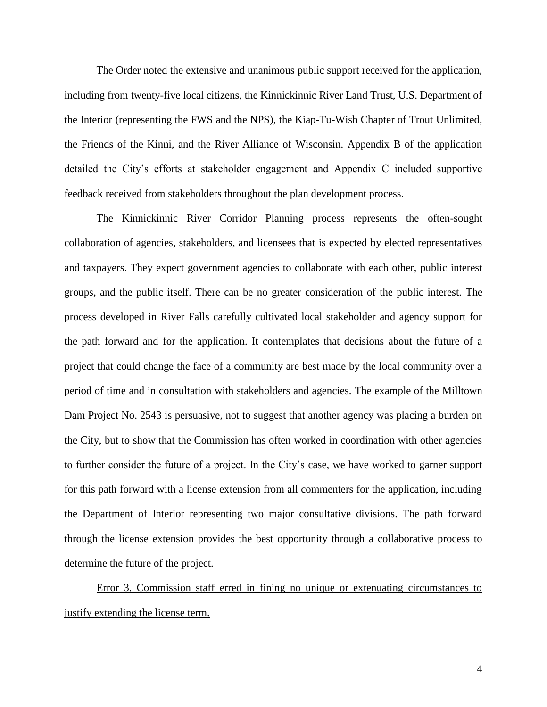The Order noted the extensive and unanimous public support received for the application, including from twenty-five local citizens, the Kinnickinnic River Land Trust, U.S. Department of the Interior (representing the FWS and the NPS), the Kiap-Tu-Wish Chapter of Trout Unlimited, the Friends of the Kinni, and the River Alliance of Wisconsin. Appendix B of the application detailed the City's efforts at stakeholder engagement and Appendix C included supportive feedback received from stakeholders throughout the plan development process.

The Kinnickinnic River Corridor Planning process represents the often-sought collaboration of agencies, stakeholders, and licensees that is expected by elected representatives and taxpayers. They expect government agencies to collaborate with each other, public interest groups, and the public itself. There can be no greater consideration of the public interest. The process developed in River Falls carefully cultivated local stakeholder and agency support for the path forward and for the application. It contemplates that decisions about the future of a project that could change the face of a community are best made by the local community over a period of time and in consultation with stakeholders and agencies. The example of the Milltown Dam Project No. 2543 is persuasive, not to suggest that another agency was placing a burden on the City, but to show that the Commission has often worked in coordination with other agencies to further consider the future of a project. In the City's case, we have worked to garner support for this path forward with a license extension from all commenters for the application, including the Department of Interior representing two major consultative divisions. The path forward through the license extension provides the best opportunity through a collaborative process to determine the future of the project.

Error 3. Commission staff erred in fining no unique or extenuating circumstances to justify extending the license term.

4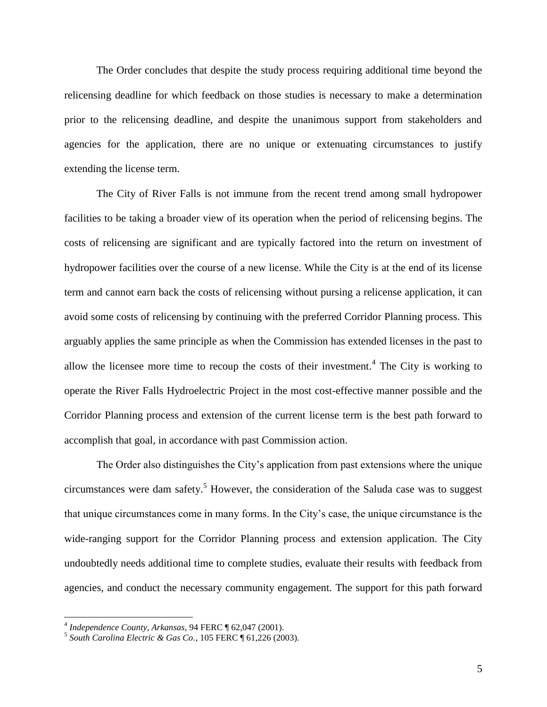The Order concludes that despite the study process requiring additional time beyond the relicensing deadline for which feedback on those studies is necessary to make a determination prior to the relicensing deadline, and despite the unanimous support from stakeholders and agencies for the application, there are no unique or extenuating circumstances to justify extending the license term.

The City of River Falls is not immune from the recent trend among small hydropower facilities to be taking a broader view of its operation when the period of relicensing begins. The costs of relicensing are significant and are typically factored into the return on investment of hydropower facilities over the course of a new license. While the City is at the end of its license term and cannot earn back the costs of relicensing without pursing a relicense application, it can avoid some costs of relicensing by continuing with the preferred Corridor Planning process. This arguably applies the same principle as when the Commission has extended licenses in the past to allow the licensee more time to recoup the costs of their investment.<sup>4</sup> The City is working to operate the River Falls Hydroelectric Project in the most cost-effective manner possible and the Corridor Planning process and extension of the current license term is the best path forward to accomplish that goal, in accordance with past Commission action.

The Order also distinguishes the City's application from past extensions where the unique circumstances were dam safety.<sup>5</sup> However, the consideration of the Saluda case was to suggest that unique circumstances come in many forms. In the City's case, the unique circumstance is the wide-ranging support for the Corridor Planning process and extension application. The City undoubtedly needs additional time to complete studies, evaluate their results with feedback from agencies, and conduct the necessary community engagement. The support for this path forward

 $\overline{a}$ 

<sup>4</sup> *Independence County, Arkansas*, 94 FERC ¶ 62,047 (2001).

<sup>5</sup> *South Carolina Electric & Gas Co.*, 105 FERC ¶ 61,226 (2003).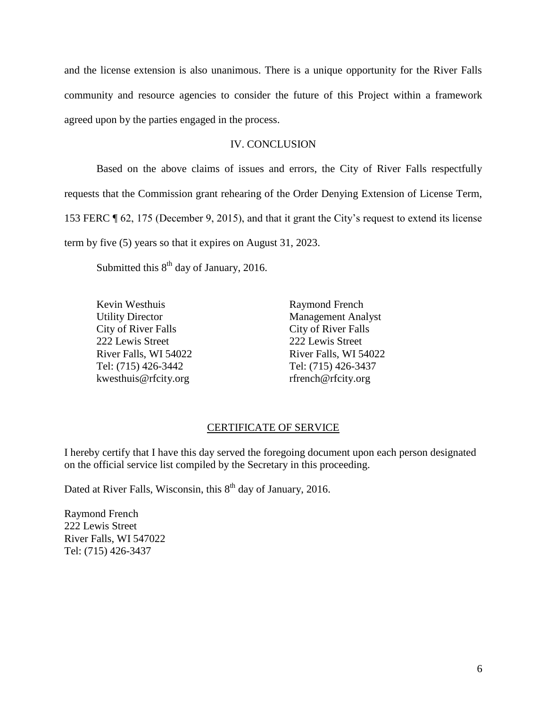and the license extension is also unanimous. There is a unique opportunity for the River Falls community and resource agencies to consider the future of this Project within a framework agreed upon by the parties engaged in the process.

## IV. CONCLUSION

Based on the above claims of issues and errors, the City of River Falls respectfully requests that the Commission grant rehearing of the Order Denying Extension of License Term, 153 FERC ¶ 62, 175 (December 9, 2015), and that it grant the City's request to extend its license term by five (5) years so that it expires on August 31, 2023.

Submitted this  $8<sup>th</sup>$  day of January, 2016.

City of River Falls City of River Falls 222 Lewis Street 222 Lewis Street Tel: (715) 426-3442 Tel: (715) 426-3437 kwesthuis@rfcity.org rfrench@rfcity.org

Kevin Westhuis **Raymond French** Utility Director Management Analyst River Falls, WI 54022 River Falls, WI 54022

### CERTIFICATE OF SERVICE

I hereby certify that I have this day served the foregoing document upon each person designated on the official service list compiled by the Secretary in this proceeding.

Dated at River Falls, Wisconsin, this  $8<sup>th</sup>$  day of January, 2016.

Raymond French 222 Lewis Street River Falls, WI 547022 Tel: (715) 426-3437